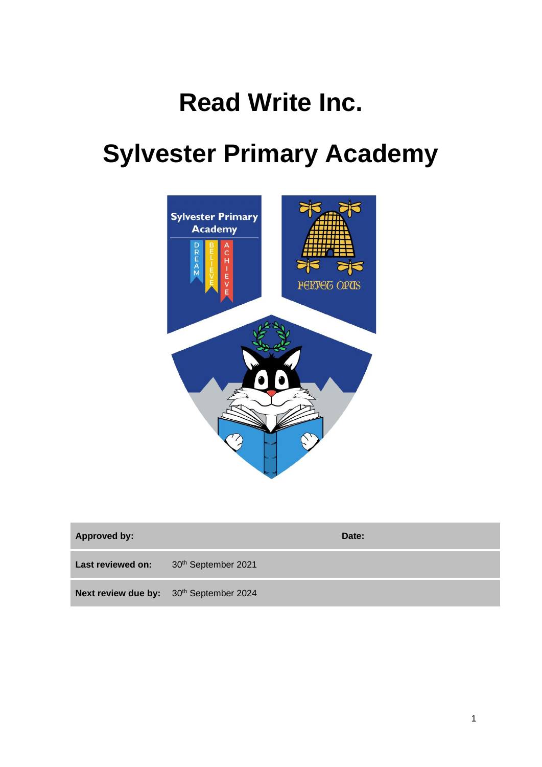# **Read Write Inc.**

# **Sylvester Primary Academy**



| <b>Approved by:</b>                     |                                 | Date: |
|-----------------------------------------|---------------------------------|-------|
| Last reviewed on:                       | 30 <sup>th</sup> September 2021 |       |
| Next review due by: 30th September 2024 |                                 |       |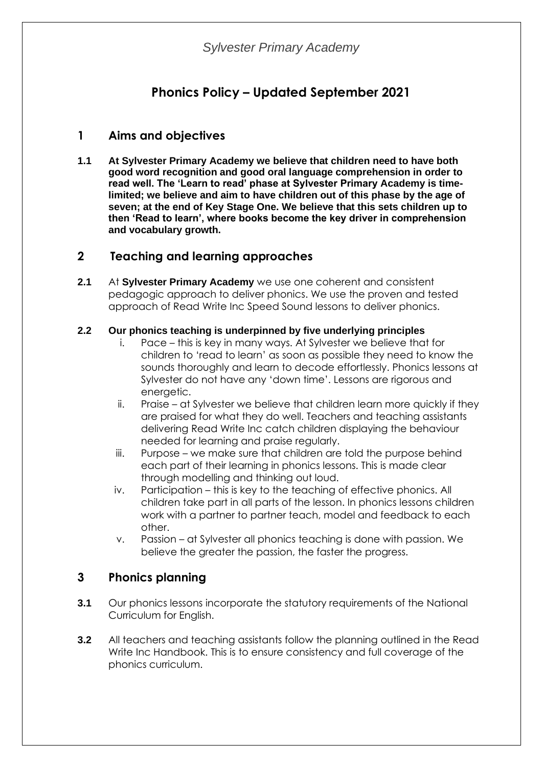# **Phonics Policy – Updated September 2021**

# **1 Aims and objectives**

**1.1 At Sylvester Primary Academy we believe that children need to have both good word recognition and good oral language comprehension in order to read well. The 'Learn to read' phase at Sylvester Primary Academy is timelimited; we believe and aim to have children out of this phase by the age of seven; at the end of Key Stage One. We believe that this sets children up to then 'Read to learn', where books become the key driver in comprehension and vocabulary growth.**

## **2 Teaching and learning approaches**

**2.1** At **Sylvester Primary Academy** we use one coherent and consistent pedagogic approach to deliver phonics. We use the proven and tested approach of Read Write Inc Speed Sound lessons to deliver phonics.

## **2.2 Our phonics teaching is underpinned by five underlying principles**

- i. Pace this is key in many ways. At Sylvester we believe that for children to 'read to learn' as soon as possible they need to know the sounds thoroughly and learn to decode effortlessly. Phonics lessons at Sylvester do not have any 'down time'. Lessons are rigorous and energetic.
- ii. Praise at Sylvester we believe that children learn more quickly if they are praised for what they do well. Teachers and teaching assistants delivering Read Write Inc catch children displaying the behaviour needed for learning and praise regularly.
- iii. Purpose we make sure that children are told the purpose behind each part of their learning in phonics lessons. This is made clear through modelling and thinking out loud.
- iv. Participation this is key to the teaching of effective phonics. All children take part in all parts of the lesson. In phonics lessons children work with a partner to partner teach, model and feedback to each other.
- v. Passion at Sylvester all phonics teaching is done with passion. We believe the greater the passion, the faster the progress.

# **3 Phonics planning**

- **3.1** Our phonics lessons incorporate the statutory requirements of the National Curriculum for English.
- **3.2** All teachers and teaching assistants follow the planning outlined in the Read Write Inc Handbook. This is to ensure consistency and full coverage of the phonics curriculum.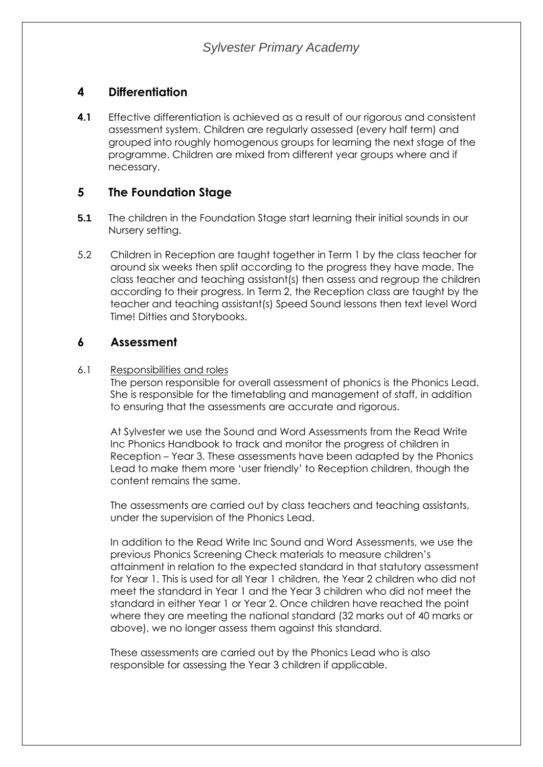# **4 Differentiation**

**4.1** Effective differentiation is achieved as a result of our rigorous and consistent assessment system. Children are regularly assessed (every half term) and grouped into roughly homogenous groups for learning the next stage of the programme. Children are mixed from different year groups where and if necessary.

# **5 The Foundation Stage**

- **5.1** The children in the Foundation Stage start learning their initial sounds in our Nursery setting.
- 5.2 Children in Reception are taught together in Term 1 by the class teacher for around six weeks then split according to the progress they have made. The class teacher and teaching assistant(s) then assess and regroup the children according to their progress. In Term 2, the Reception class are taught by the teacher and teaching assistant(s) Speed Sound lessons then text level Word Time! Ditties and Storybooks.

# **6 Assessment**

### 6.1 Responsibilities and roles

The person responsible for overall assessment of phonics is the Phonics Lead. She is responsible for the timetabling and management of staff, in addition to ensuring that the assessments are accurate and rigorous.

At Sylvester we use the Sound and Word Assessments from the Read Write Inc Phonics Handbook to track and monitor the progress of children in Reception – Year 3. These assessments have been adapted by the Phonics Lead to make them more 'user friendly' to Reception children, though the content remains the same.

The assessments are carried out by class teachers and teaching assistants, under the supervision of the Phonics Lead.

In addition to the Read Write Inc Sound and Word Assessments, we use the previous Phonics Screening Check materials to measure children's attainment in relation to the expected standard in that statutory assessment for Year 1. This is used for all Year 1 children, the Year 2 children who did not meet the standard in Year 1 and the Year 3 children who did not meet the standard in either Year 1 or Year 2. Once children have reached the point where they are meeting the national standard (32 marks out of 40 marks or above), we no longer assess them against this standard.

These assessments are carried out by the Phonics Lead who is also responsible for assessing the Year 3 children if applicable.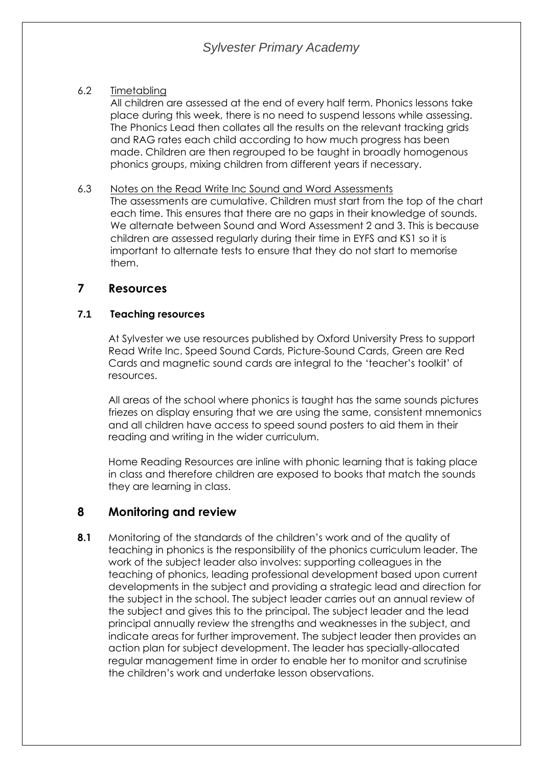# *Sylvester Primary Academy*

#### 6.2 Timetabling

All children are assessed at the end of every half term. Phonics lessons take place during this week, there is no need to suspend lessons while assessing. The Phonics Lead then collates all the results on the relevant tracking grids and RAG rates each child according to how much progress has been made. Children are then regrouped to be taught in broadly homogenous phonics groups, mixing children from different years if necessary.

#### 6.3 Notes on the Read Write Inc Sound and Word Assessments

The assessments are cumulative. Children must start from the top of the chart each time. This ensures that there are no gaps in their knowledge of sounds. We alternate between Sound and Word Assessment 2 and 3. This is because children are assessed regularly during their time in EYFS and KS1 so it is important to alternate tests to ensure that they do not start to memorise them.

## **7 Resources**

#### **7.1 Teaching resources**

At Sylvester we use resources published by Oxford University Press to support Read Write Inc. Speed Sound Cards, Picture-Sound Cards, Green are Red Cards and magnetic sound cards are integral to the 'teacher's toolkit' of resources.

All areas of the school where phonics is taught has the same sounds pictures friezes on display ensuring that we are using the same, consistent mnemonics and all children have access to speed sound posters to aid them in their reading and writing in the wider curriculum.

Home Reading Resources are inline with phonic learning that is taking place in class and therefore children are exposed to books that match the sounds they are learning in class.

## **8 Monitoring and review**

**8.1** Monitoring of the standards of the children's work and of the quality of teaching in phonics is the responsibility of the phonics curriculum leader. The work of the subject leader also involves: supporting colleagues in the teaching of phonics, leading professional development based upon current developments in the subject and providing a strategic lead and direction for the subject in the school. The subject leader carries out an annual review of the subject and gives this to the principal. The subject leader and the lead principal annually review the strengths and weaknesses in the subject, and indicate areas for further improvement. The subject leader then provides an action plan for subject development. The leader has specially-allocated regular management time in order to enable her to monitor and scrutinise the children's work and undertake lesson observations.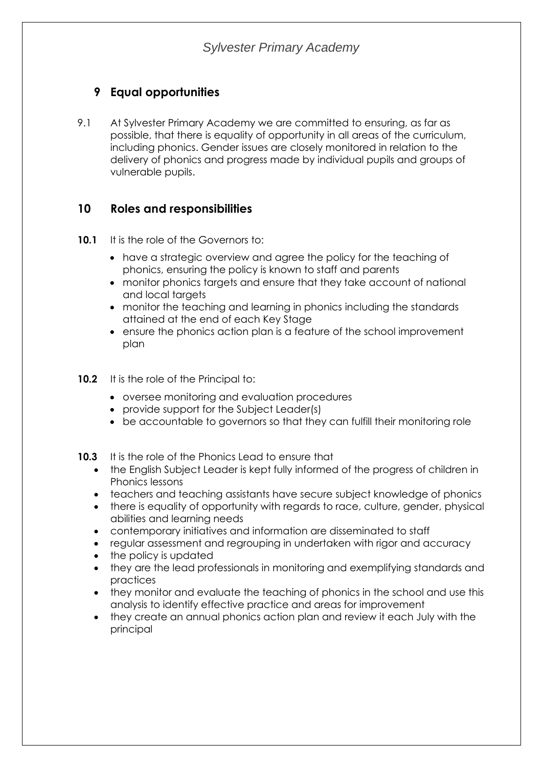# **9 Equal opportunities**

9.1 At Sylvester Primary Academy we are committed to ensuring, as far as possible, that there is equality of opportunity in all areas of the curriculum, including phonics. Gender issues are closely monitored in relation to the delivery of phonics and progress made by individual pupils and groups of vulnerable pupils.

# **10 Roles and responsibilities**

- **10.1** It is the role of the Governors to:
	- have a strategic overview and agree the policy for the teaching of phonics, ensuring the policy is known to staff and parents
	- monitor phonics targets and ensure that they take account of national and local targets
	- monitor the teaching and learning in phonics including the standards attained at the end of each Key Stage
	- ensure the phonics action plan is a feature of the school improvement plan
- **10.2** It is the role of the Principal to:
	- oversee monitoring and evaluation procedures
	- provide support for the Subject Leader(s)
	- be accountable to governors so that they can fulfill their monitoring role
- **10.3** It is the role of the Phonics Lead to ensure that
	- the English Subject Leader is kept fully informed of the progress of children in Phonics lessons
	- teachers and teaching assistants have secure subject knowledge of phonics
	- there is equality of opportunity with regards to race, culture, gender, physical abilities and learning needs
	- contemporary initiatives and information are disseminated to staff
	- regular assessment and regrouping in undertaken with rigor and accuracy
	- the policy is updated
	- they are the lead professionals in monitoring and exemplifying standards and practices
	- they monitor and evaluate the teaching of phonics in the school and use this analysis to identify effective practice and areas for improvement
	- they create an annual phonics action plan and review it each July with the principal